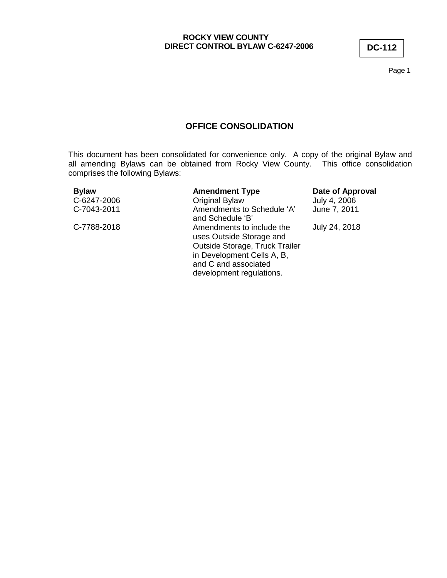Page 1

# **OFFICE CONSOLIDATION**

This document has been consolidated for convenience only. A copy of the original Bylaw and all amending Bylaws can be obtained from Rocky View County. This office consolidation comprises the following Bylaws:

| <b>Bylaw</b> | <b>Amendment Type</b>                                                                                                                                                     | Date of Approval |
|--------------|---------------------------------------------------------------------------------------------------------------------------------------------------------------------------|------------------|
| C-6247-2006  | Original Bylaw                                                                                                                                                            | July 4, 2006     |
| C-7043-2011  | Amendments to Schedule 'A'<br>and Schedule 'B'                                                                                                                            | June 7, 2011     |
| C-7788-2018  | Amendments to include the<br>uses Outside Storage and<br>Outside Storage, Truck Trailer<br>in Development Cells A, B,<br>and C and associated<br>development regulations. | July 24, 2018    |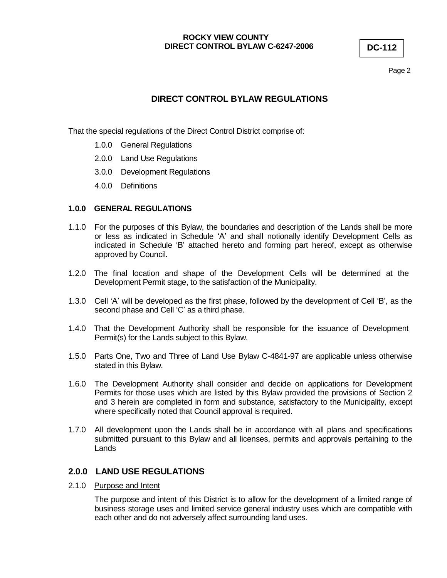Page 2

# **DIRECT CONTROL BYLAW REGULATIONS**

That the special regulations of the Direct Control District comprise of:

- 1.0.0 General Regulations
- 2.0.0 Land Use Regulations
- 3.0.0 Development Regulations
- 4.0.0 Definitions

### **1.0.0 GENERAL REGULATIONS**

- 1.1.0 For the purposes of this Bylaw, the boundaries and description of the Lands shall be more or less as indicated in Schedule 'A' and shall notionally identify Development Cells as indicated in Schedule 'B' attached hereto and forming part hereof, except as otherwise approved by Council.
- 1.2.0 The final location and shape of the Development Cells will be determined at the Development Permit stage, to the satisfaction of the Municipality.
- 1.3.0 Cell 'A' will be developed as the first phase, followed by the development of Cell 'B', as the second phase and Cell 'C' as a third phase.
- 1.4.0 That the Development Authority shall be responsible for the issuance of Development Permit(s) for the Lands subject to this Bylaw.
- 1.5.0 Parts One, Two and Three of Land Use Bylaw C-4841-97 are applicable unless otherwise stated in this Bylaw.
- 1.6.0 The Development Authority shall consider and decide on applications for Development Permits for those uses which are listed by this Bylaw provided the provisions of Section 2 and 3 herein are completed in form and substance, satisfactory to the Municipality, except where specifically noted that Council approval is required.
- 1.7.0 All development upon the Lands shall be in accordance with all plans and specifications submitted pursuant to this Bylaw and all licenses, permits and approvals pertaining to the Lands

### **2.0.0 LAND USE REGULATIONS**

2.1.0 Purpose and Intent

The purpose and intent of this District is to allow for the development of a limited range of business storage uses and limited service general industry uses which are compatible with each other and do not adversely affect surrounding land uses.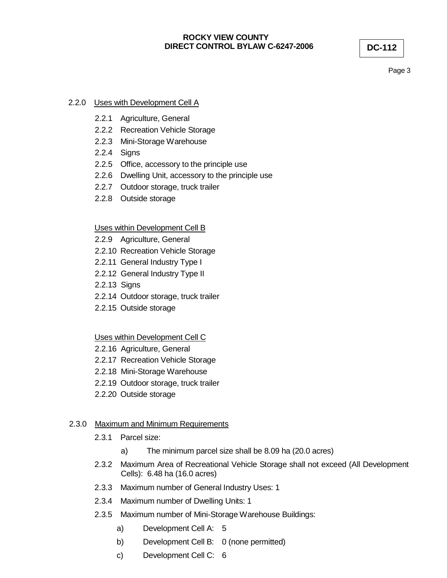Page 3

### 2.2.0 Uses with Development Cell A

- 2.2.1 Agriculture, General
- 2.2.2 Recreation Vehicle Storage
- 2.2.3 Mini-Storage Warehouse
- 2.2.4 Signs
- 2.2.5 Office, accessory to the principle use
- 2.2.6 Dwelling Unit, accessory to the principle use
- 2.2.7 Outdoor storage, truck trailer
- 2.2.8 Outside storage

### Uses within Development Cell B

- 2.2.9 Agriculture, General
- 2.2.10 Recreation Vehicle Storage
- 2.2.11 General Industry Type I
- 2.2.12 General Industry Type II
- 2.2.13 Signs
- 2.2.14 Outdoor storage, truck trailer
- 2.2.15 Outside storage

### Uses within Development Cell C

- 2.2.16 Agriculture, General
- 2.2.17 Recreation Vehicle Storage
- 2.2.18 Mini-Storage Warehouse
- 2.2.19 Outdoor storage, truck trailer
- 2.2.20 Outside storage

### 2.3.0 Maximum and Minimum Requirements

- 2.3.1 Parcel size:
	- a) The minimum parcel size shall be 8.09 ha (20.0 acres)
- 2.3.2 Maximum Area of Recreational Vehicle Storage shall not exceed (All Development Cells): 6.48 ha (16.0 acres)
- 2.3.3 Maximum number of General Industry Uses: 1
- 2.3.4 Maximum number of Dwelling Units: 1
- 2.3.5 Maximum number of Mini-Storage Warehouse Buildings:
	- a) Development Cell A: 5
	- b) Development Cell B: 0 (none permitted)
	- c) Development Cell C: 6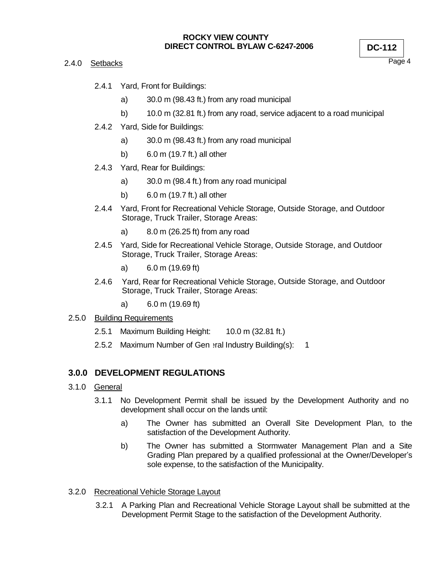#### 2.4.0 Setbacks

Page 4

- 2.4.1 Yard, Front for Buildings:
	- a) 30.0 m (98.43 ft.) from any road municipal
	- b) 10.0 m (32.81 ft.) from any road, service adjacent to a road municipal
- 2.4.2 Yard, Side for Buildings:
	- a) 30.0 m (98.43 ft.) from any road municipal
	- b) 6.0 m (19.7 ft.) all other
- 2.4.3 Yard, Rear for Buildings:
	- a) 30.0 m (98.4 ft.) from any road municipal
	- b) 6.0 m (19.7 ft.) all other
- 2.4.4 Yard, Front for Recreational Vehicle Storage, Outside Storage, and Outdoor Storage, Truck Trailer, Storage Areas:
	- a) 8.0 m (26.25 ft) from any road
- 2.4.5 Yard, Side for Recreational Vehicle Storage, Outside Storage, and Outdoor Storage, Truck Trailer, Storage Areas:
	- a) 6.0 m (19.69 ft)
- 2.4.6 Yard, Rear for Recreational Vehicle Storage, Outside Storage, and Outdoor Storage, Truck Trailer, Storage Areas:
	- a) 6.0 m (19.69 ft)

### 2.5.0 Building Requirements

- 2.5.1 Maximum Building Height: 10.0 m (32.81 ft.)
- 2.5.2 Maximum Number of General Industry Building(s): 1

# **3.0.0 DEVELOPMENT REGULATIONS**

#### 3.1.0 General

- 3.1.1 No Development Permit shall be issued by the Development Authority and no development shall occur on the lands until:
	- a) The Owner has submitted an Overall Site Development Plan, to the satisfaction of the Development Authority.
	- b) The Owner has submitted a Stormwater Management Plan and a Site Grading Plan prepared by a qualified professional at the Owner/Developer's sole expense, to the satisfaction of the Municipality.

### 3.2.0 Recreational Vehicle Storage Layout

3.2.1 A Parking Plan and Recreational Vehicle Storage Layout shall be submitted at the Development Permit Stage to the satisfaction of the Development Authority.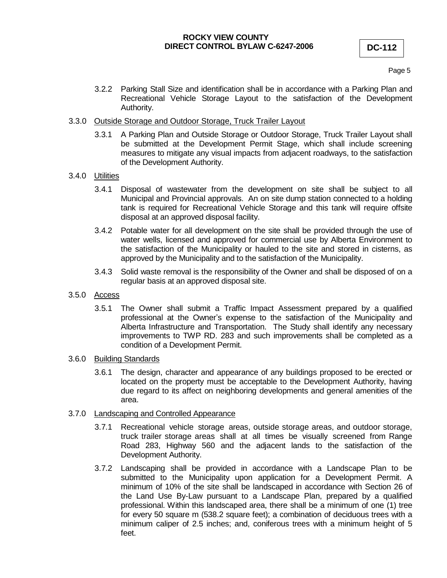Page 5

3.2.2 Parking Stall Size and identification shall be in accordance with a Parking Plan and Recreational Vehicle Storage Layout to the satisfaction of the Development Authority.

#### 3.3.0 Outside Storage and Outdoor Storage, Truck Trailer Layout

3.3.1 A Parking Plan and Outside Storage or Outdoor Storage, Truck Trailer Layout shall be submitted at the Development Permit Stage, which shall include screening measures to mitigate any visual impacts from adjacent roadways, to the satisfaction of the Development Authority.

#### 3.4.0 Utilities

- 3.4.1 Disposal of wastewater from the development on site shall be subject to all Municipal and Provincial approvals. An on site dump station connected to a holding tank is required for Recreational Vehicle Storage and this tank will require offsite disposal at an approved disposal facility.
- 3.4.2 Potable water for all development on the site shall be provided through the use of water wells, licensed and approved for commercial use by Alberta Environment to the satisfaction of the Municipality or hauled to the site and stored in cisterns, as approved by the Municipality and to the satisfaction of the Municipality.
- 3.4.3 Solid waste removal is the responsibility of the Owner and shall be disposed of on a regular basis at an approved disposal site.
- 3.5.0 Access
	- 3.5.1 The Owner shall submit a Traffic Impact Assessment prepared by a qualified professional at the Owner's expense to the satisfaction of the Municipality and Alberta Infrastructure and Transportation. The Study shall identify any necessary improvements to TWP RD. 283 and such improvements shall be completed as a condition of a Development Permit.
- 3.6.0 Building Standards
	- 3.6.1 The design, character and appearance of any buildings proposed to be erected or located on the property must be acceptable to the Development Authority, having due regard to its affect on neighboring developments and general amenities of the area.

#### 3.7.0 Landscaping and Controlled Appearance

- 3.7.1 Recreational vehicle storage areas, outside storage areas, and outdoor storage, truck trailer storage areas shall at all times be visually screened from Range Road 283, Highway 560 and the adjacent lands to the satisfaction of the Development Authority.
- 3.7.2 Landscaping shall be provided in accordance with a Landscape Plan to be submitted to the Municipality upon application for a Development Permit. A minimum of 10% of the site shall be landscaped in accordance with Section 26 of the Land Use By-Law pursuant to a Landscape Plan, prepared by a qualified professional. Within this landscaped area, there shall be a minimum of one (1) tree for every 50 square m (538.2 square feet); a combination of deciduous trees with a minimum caliper of 2.5 inches; and, coniferous trees with a minimum height of 5 feet.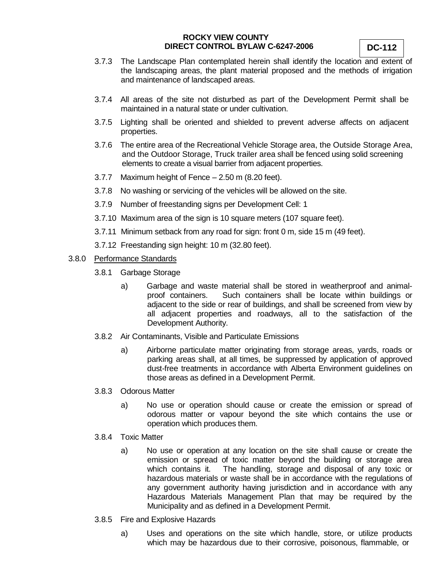- 3.7.3 The Landscape Plan contemplated herein shall identify the location and extent of the landscaping areas, the plant material proposed and the methods of irrigation and maintenance of landscaped areas.
- 3.7.4 All areas of the site not disturbed as part of the Development Permit shall be maintained in a natural state or under cultivation.
- 3.7.5 Lighting shall be oriented and shielded to prevent adverse affects on adjacent properties.
- 3.7.6 The entire area of the Recreational Vehicle Storage area, the Outside Storage Area, and the Outdoor Storage, Truck trailer area shall be fenced using solid screening elements to create a visual barrier from adjacent properties.
- 3.7.7 Maximum height of Fence 2.50 m (8.20 feet).
- 3.7.8 No washing or servicing of the vehicles will be allowed on the site.
- 3.7.9 Number of freestanding signs per Development Cell: 1
- 3.7.10 Maximum area of the sign is 10 square meters (107 square feet).
- 3.7.11 Minimum setback from any road for sign: front 0 m, side 15 m (49 feet).
- 3.7.12 Freestanding sign height: 10 m (32.80 feet).
- 3.8.0 Performance Standards
	- 3.8.1 Garbage Storage
		- a) Garbage and waste material shall be stored in weatherproof and animalproof containers. Such containers shall be locate within buildings or adjacent to the side or rear of buildings, and shall be screened from view by all adjacent properties and roadways, all to the satisfaction of the Development Authority.
	- 3.8.2 Air Contaminants, Visible and Particulate Emissions
		- a) Airborne particulate matter originating from storage areas, yards, roads or parking areas shall, at all times, be suppressed by application of approved dust-free treatments in accordance with Alberta Environment guidelines on those areas as defined in a Development Permit.
	- 3.8.3 Odorous Matter
		- a) No use or operation should cause or create the emission or spread of odorous matter or vapour beyond the site which contains the use or operation which produces them.
	- 3.8.4 Toxic Matter
		- a) No use or operation at any location on the site shall cause or create the emission or spread of toxic matter beyond the building or storage area which contains it. The handling, storage and disposal of any toxic or hazardous materials or waste shall be in accordance with the regulations of any government authority having jurisdiction and in accordance with any Hazardous Materials Management Plan that may be required by the Municipality and as defined in a Development Permit.
	- 3.8.5 Fire and Explosive Hazards
		- a) Uses and operations on the site which handle, store, or utilize products which may be hazardous due to their corrosive, poisonous, flammable, or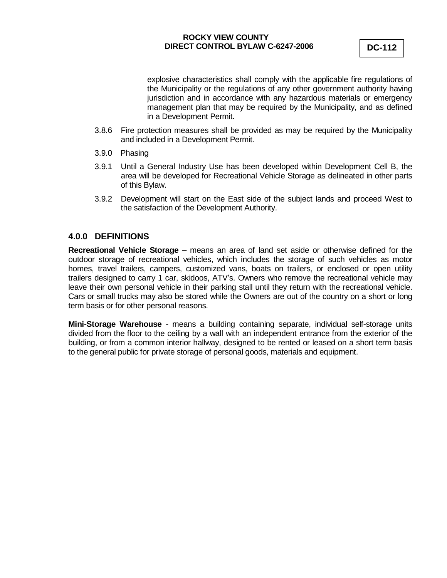explosive characteristics shall comply with the applicable fire regulations of the Municipality or the regulations of any other government authority having jurisdiction and in accordance with any hazardous materials or emergency management plan that may be required by the Municipality, and as defined in a Development Permit.

- 3.8.6 Fire protection measures shall be provided as may be required by the Municipality and included in a Development Permit.
- 3.9.0 Phasing
- 3.9.1 Until a General Industry Use has been developed within Development Cell B, the area will be developed for Recreational Vehicle Storage as delineated in other parts of this Bylaw.
- 3.9.2 Development will start on the East side of the subject lands and proceed West to the satisfaction of the Development Authority.

## **4.0.0 DEFINITIONS**

**Recreational Vehicle Storage –** means an area of land set aside or otherwise defined for the outdoor storage of recreational vehicles, which includes the storage of such vehicles as motor homes, travel trailers, campers, customized vans, boats on trailers, or enclosed or open utility trailers designed to carry 1 car, skidoos, ATV's. Owners who remove the recreational vehicle may leave their own personal vehicle in their parking stall until they return with the recreational vehicle. Cars or small trucks may also be stored while the Owners are out of the country on a short or long term basis or for other personal reasons.

**Mini-Storage Warehouse** - means a building containing separate, individual self-storage units divided from the floor to the ceiling by a wall with an independent entrance from the exterior of the building, or from a common interior hallway, designed to be rented or leased on a short term basis to the general public for private storage of personal goods, materials and equipment.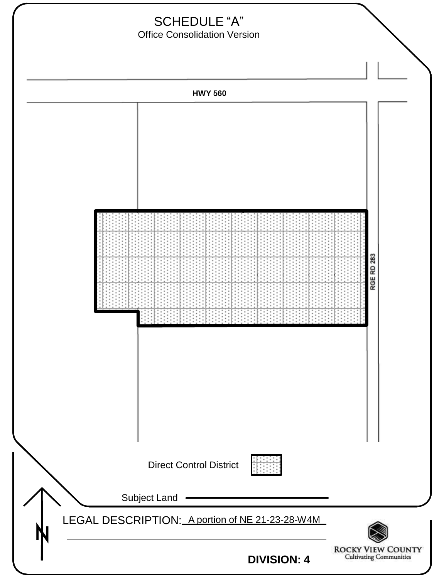